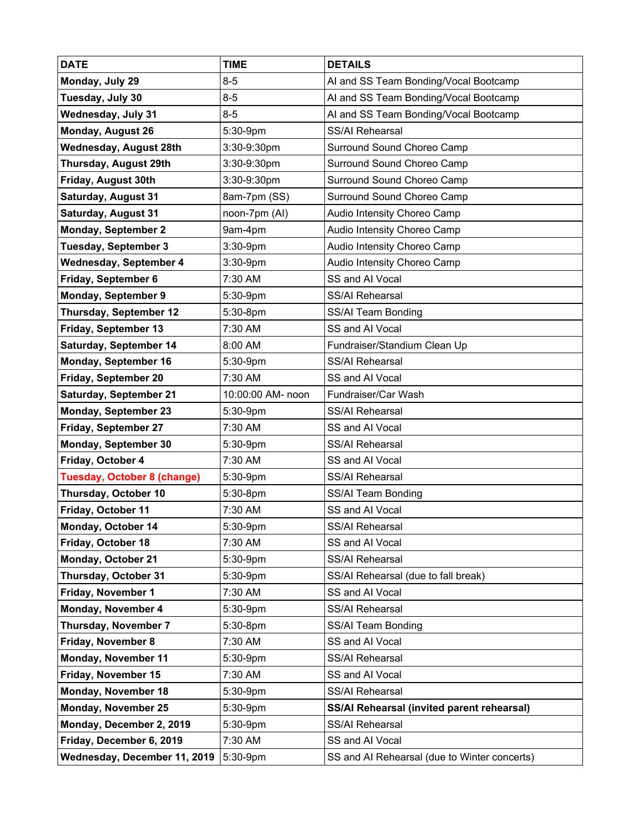| <b>DATE</b>                        | <b>TIME</b>       | <b>DETAILS</b>                               |
|------------------------------------|-------------------|----------------------------------------------|
| Monday, July 29                    | $8 - 5$           | AI and SS Team Bonding/Vocal Bootcamp        |
| Tuesday, July 30                   | $8 - 5$           | AI and SS Team Bonding/Vocal Bootcamp        |
| Wednesday, July 31                 | $8 - 5$           | AI and SS Team Bonding/Vocal Bootcamp        |
| Monday, August 26                  | 5:30-9pm          | <b>SS/AI Rehearsal</b>                       |
| Wednesday, August 28th             | 3:30-9:30pm       | Surround Sound Choreo Camp                   |
| Thursday, August 29th              | 3:30-9:30pm       | Surround Sound Choreo Camp                   |
| Friday, August 30th                | 3:30-9:30pm       | Surround Sound Choreo Camp                   |
| <b>Saturday, August 31</b>         | 8am-7pm (SS)      | Surround Sound Choreo Camp                   |
| <b>Saturday, August 31</b>         | noon-7pm (AI)     | Audio Intensity Choreo Camp                  |
| <b>Monday, September 2</b>         | 9am-4pm           | Audio Intensity Choreo Camp                  |
| <b>Tuesday, September 3</b>        | 3:30-9pm          | Audio Intensity Choreo Camp                  |
| <b>Wednesday, September 4</b>      | 3:30-9pm          | Audio Intensity Choreo Camp                  |
| Friday, September 6                | 7:30 AM           | SS and Al Vocal                              |
| <b>Monday, September 9</b>         | 5:30-9pm          | SS/AI Rehearsal                              |
| <b>Thursday, September 12</b>      | 5:30-8pm          | SS/Al Team Bonding                           |
| Friday, September 13               | 7:30 AM           | SS and AI Vocal                              |
| Saturday, September 14             | 8:00 AM           | Fundraiser/Standium Clean Up                 |
| Monday, September 16               | 5:30-9pm          | SS/AI Rehearsal                              |
| Friday, September 20               | 7:30 AM           | SS and AI Vocal                              |
| Saturday, September 21             | 10:00:00 AM- noon | Fundraiser/Car Wash                          |
| <b>Monday, September 23</b>        | 5:30-9pm          | SS/AI Rehearsal                              |
| Friday, September 27               | 7:30 AM           | SS and AI Vocal                              |
| <b>Monday, September 30</b>        | 5:30-9pm          | SS/AI Rehearsal                              |
| Friday, October 4                  | 7:30 AM           | SS and Al Vocal                              |
| <b>Tuesday, October 8 (change)</b> | 5:30-9pm          | SS/AI Rehearsal                              |
| Thursday, October 10               | 5:30-8pm          | SS/AI Team Bonding                           |
| Friday, October 11                 | 7:30 AM           | SS and Al Vocal                              |
| Monday, October 14                 | 5:30-9pm          | SS/Al Rehearsal                              |
| Friday, October 18                 | 7:30 AM           | SS and Al Vocal                              |
| Monday, October 21                 | 5:30-9pm          | SS/AI Rehearsal                              |
| Thursday, October 31               | 5:30-9pm          | SS/AI Rehearsal (due to fall break)          |
| Friday, November 1                 | 7:30 AM           | SS and Al Vocal                              |
| Monday, November 4                 | 5:30-9pm          | SS/AI Rehearsal                              |
| <b>Thursday, November 7</b>        | 5:30-8pm          | SS/AI Team Bonding                           |
| Friday, November 8                 | 7:30 AM           | SS and Al Vocal                              |
| <b>Monday, November 11</b>         | 5:30-9pm          | SS/AI Rehearsal                              |
| Friday, November 15                | 7:30 AM           | SS and Al Vocal                              |
| Monday, November 18                | 5:30-9pm          | SS/AI Rehearsal                              |
| Monday, November 25                | 5:30-9pm          | SS/AI Rehearsal (invited parent rehearsal)   |
| Monday, December 2, 2019           | 5:30-9pm          | SS/AI Rehearsal                              |
| Friday, December 6, 2019           | 7:30 AM           | SS and AI Vocal                              |
| Wednesday, December 11, 2019       | 5:30-9pm          | SS and AI Rehearsal (due to Winter concerts) |